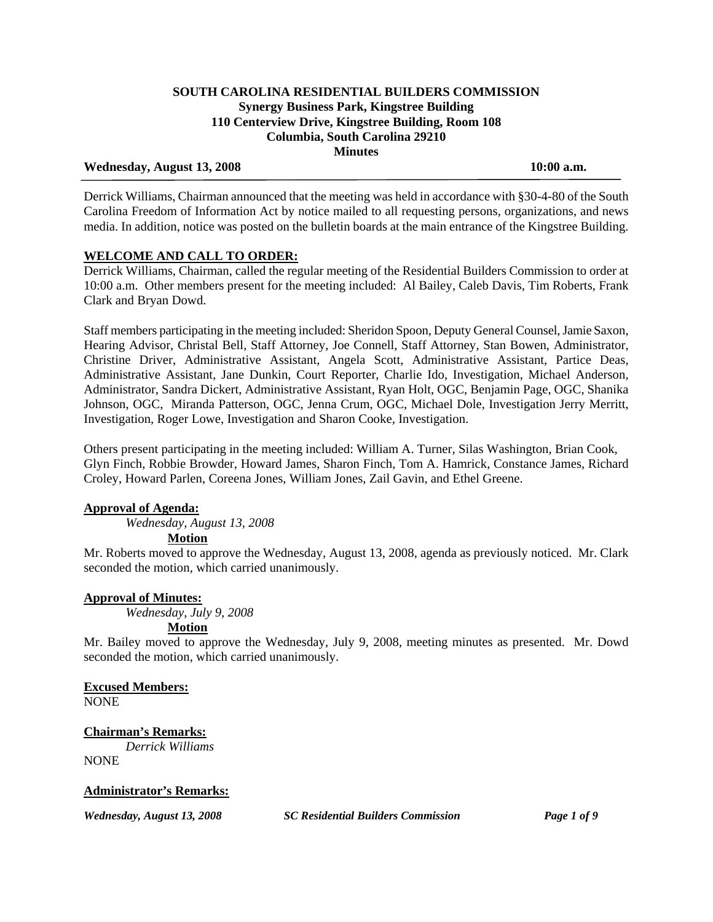# Wednesday, August 13, 2008 10:00 a.m.

Derrick Williams, Chairman announced that the meeting was held in accordance with §30-4-80 of the South Carolina Freedom of Information Act by notice mailed to all requesting persons, organizations, and news media. In addition, notice was posted on the bulletin boards at the main entrance of the Kingstree Building.

# **WELCOME AND CALL TO ORDER:**

Derrick Williams, Chairman, called the regular meeting of the Residential Builders Commission to order at 10:00 a.m. Other members present for the meeting included: Al Bailey, Caleb Davis, Tim Roberts, Frank Clark and Bryan Dowd.

Staff members participating in the meeting included: Sheridon Spoon, Deputy General Counsel, Jamie Saxon, Hearing Advisor, Christal Bell, Staff Attorney, Joe Connell, Staff Attorney, Stan Bowen, Administrator, Christine Driver, Administrative Assistant, Angela Scott, Administrative Assistant, Partice Deas, Administrative Assistant, Jane Dunkin, Court Reporter, Charlie Ido, Investigation, Michael Anderson, Administrator, Sandra Dickert, Administrative Assistant, Ryan Holt, OGC, Benjamin Page, OGC, Shanika Johnson, OGC, Miranda Patterson, OGC, Jenna Crum, OGC, Michael Dole, Investigation Jerry Merritt, Investigation, Roger Lowe, Investigation and Sharon Cooke, Investigation.

Others present participating in the meeting included: William A. Turner, Silas Washington, Brian Cook, Glyn Finch, Robbie Browder, Howard James, Sharon Finch, Tom A. Hamrick, Constance James, Richard Croley, Howard Parlen, Coreena Jones, William Jones, Zail Gavin, and Ethel Greene.

# **Approval of Agenda:**

*Wednesday, August 13, 2008* 

 **Motion**

Mr. Roberts moved to approve the Wednesday, August 13, 2008, agenda as previously noticed. Mr. Clark seconded the motion, which carried unanimously.

#### **Approval of Minutes:**

*Wednesday, July 9, 2008* 

# **Motion**

Mr. Bailey moved to approve the Wednesday, July 9, 2008, meeting minutes as presented. Mr. Dowd seconded the motion, which carried unanimously.

**Excused Members:** NONE

# **Chairman's Remarks:**

 *Derrick Williams* NONE

# **Administrator's Remarks:**

*Wednesday, August 13, 2008 SC Residential Builders Commission Page 1 of 9*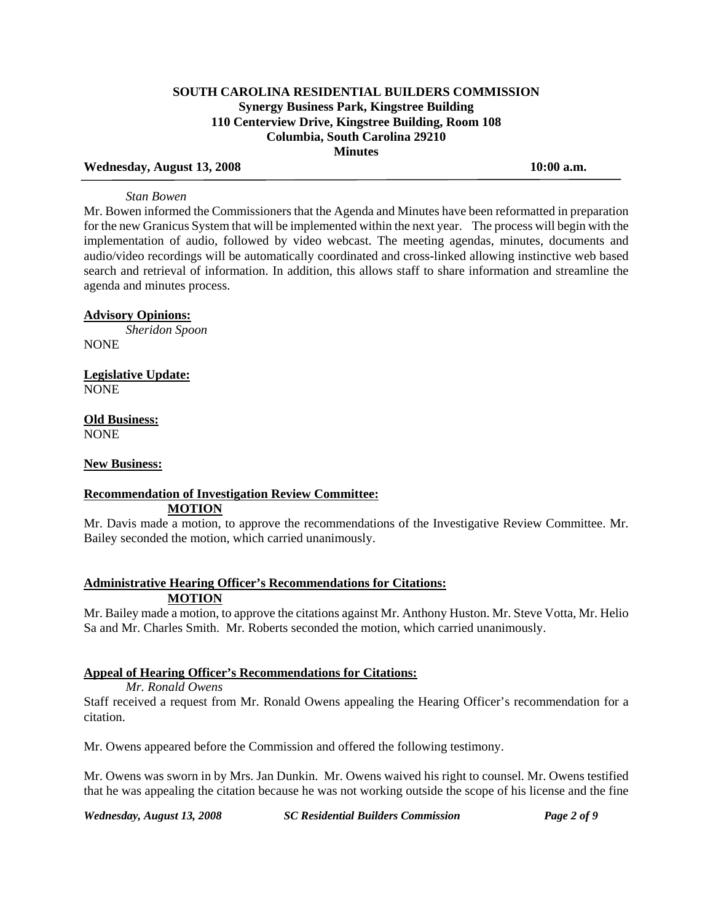#### Wednesday, August 13, 2008 10:00 a.m.

#### *Stan Bowen*

Mr. Bowen informed the Commissioners that the Agenda and Minutes have been reformatted in preparation for the new Granicus System that will be implemented within the next year. The process will begin with the implementation of audio, followed by video webcast. The meeting agendas, minutes, documents and audio/video recordings will be automatically coordinated and cross-linked allowing instinctive web based search and retrieval of information. In addition, this allows staff to share information and streamline the agenda and minutes process.

### **Advisory Opinions:**

 *Sheridon Spoon* NONE

**Legislative Update:** NONE

**Old Business:** NONE

#### **New Business:**

#### **Recommendation of Investigation Review Committee: MOTION**

Mr. Davis made a motion, to approve the recommendations of the Investigative Review Committee. Mr. Bailey seconded the motion, which carried unanimously.

### **Administrative Hearing Officer's Recommendations for Citations: MOTION**

Mr. Bailey made a motion, to approve the citations against Mr. Anthony Huston. Mr. Steve Votta, Mr. Helio Sa and Mr. Charles Smith. Mr. Roberts seconded the motion, which carried unanimously.

### **Appeal of Hearing Officer's Recommendations for Citations:**

# *Mr. Ronald Owens*

Staff received a request from Mr. Ronald Owens appealing the Hearing Officer's recommendation for a citation.

Mr. Owens appeared before the Commission and offered the following testimony.

Mr. Owens was sworn in by Mrs. Jan Dunkin. Mr. Owens waived his right to counsel. Mr. Owens testified that he was appealing the citation because he was not working outside the scope of his license and the fine

*Wednesday, August 13, 2008 SC Residential Builders Commission Page 2 of 9*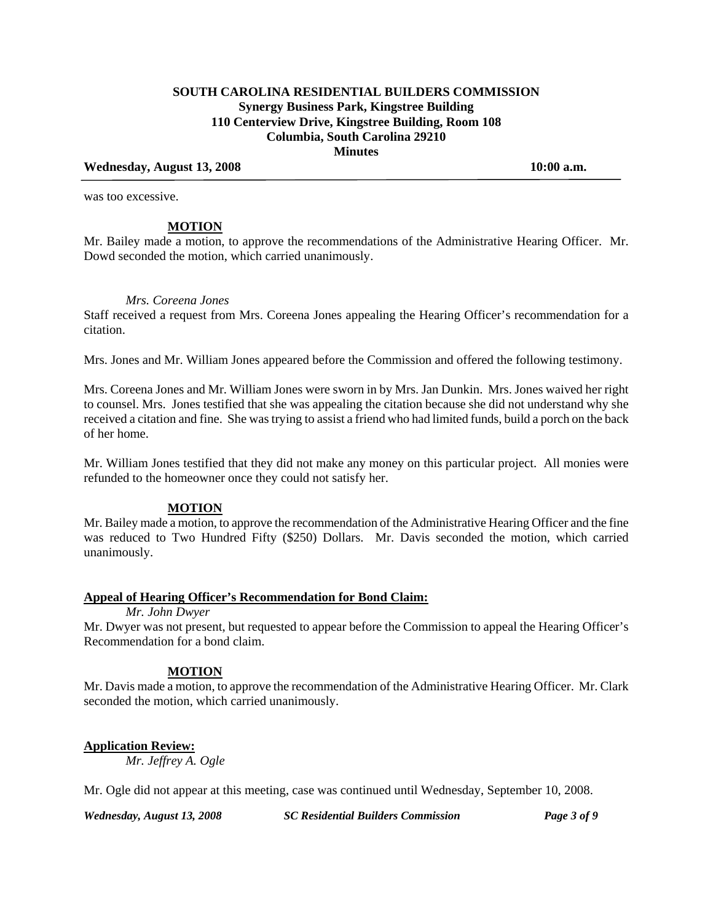### Wednesday, August 13, 2008 10:00 a.m.

was too excessive.

#### **MOTION**

Mr. Bailey made a motion, to approve the recommendations of the Administrative Hearing Officer. Mr. Dowd seconded the motion, which carried unanimously.

### *Mrs. Coreena Jones*

Staff received a request from Mrs. Coreena Jones appealing the Hearing Officer's recommendation for a citation.

Mrs. Jones and Mr. William Jones appeared before the Commission and offered the following testimony.

Mrs. Coreena Jones and Mr. William Jones were sworn in by Mrs. Jan Dunkin. Mrs. Jones waived her right to counsel. Mrs. Jones testified that she was appealing the citation because she did not understand why she received a citation and fine. She was trying to assist a friend who had limited funds, build a porch on the back of her home.

Mr. William Jones testified that they did not make any money on this particular project. All monies were refunded to the homeowner once they could not satisfy her.

#### **MOTION**

Mr. Bailey made a motion, to approve the recommendation of the Administrative Hearing Officer and the fine was reduced to Two Hundred Fifty (\$250) Dollars. Mr. Davis seconded the motion, which carried unanimously.

#### **Appeal of Hearing Officer's Recommendation for Bond Claim:**

*Mr. John Dwyer* 

Mr. Dwyer was not present, but requested to appear before the Commission to appeal the Hearing Officer's Recommendation for a bond claim.

#### **MOTION**

Mr. Davis made a motion, to approve the recommendation of the Administrative Hearing Officer. Mr. Clark seconded the motion, which carried unanimously.

#### **Application Review:**

*Mr. Jeffrey A. Ogle* 

Mr. Ogle did not appear at this meeting, case was continued until Wednesday, September 10, 2008.

*Wednesday, August 13, 2008 SC Residential Builders Commission Page 3 of 9*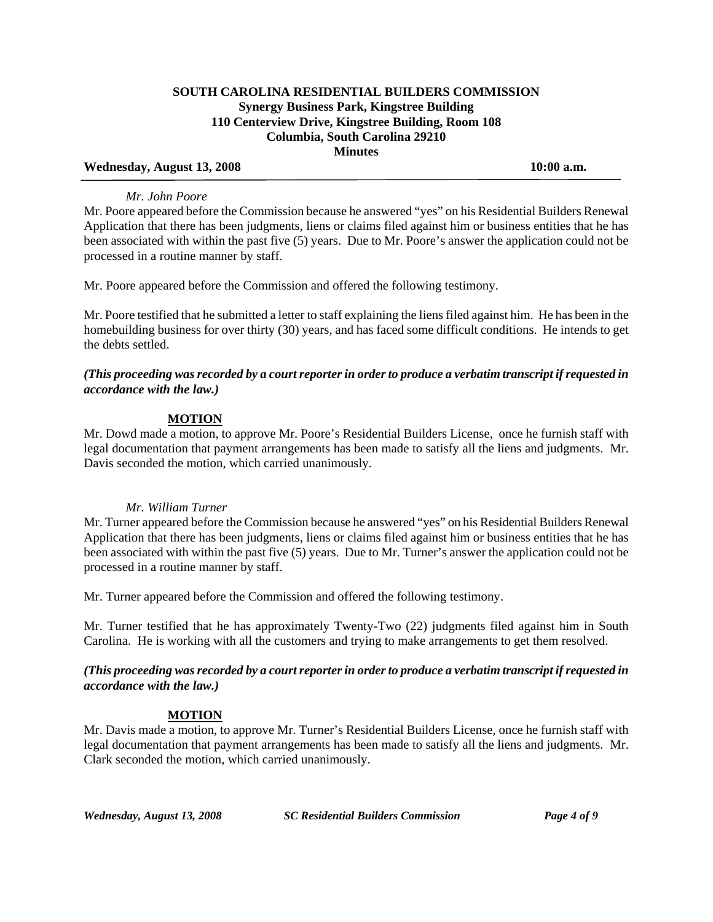### Wednesday, August 13, 2008 10:00 a.m.

### *Mr. John Poore*

Mr. Poore appeared before the Commission because he answered "yes" on his Residential Builders Renewal Application that there has been judgments, liens or claims filed against him or business entities that he has been associated with within the past five (5) years. Due to Mr. Poore's answer the application could not be processed in a routine manner by staff.

Mr. Poore appeared before the Commission and offered the following testimony.

Mr. Poore testified that he submitted a letter to staff explaining the liens filed against him. He has been in the homebuilding business for over thirty (30) years, and has faced some difficult conditions. He intends to get the debts settled.

# *(This proceeding was recorded by a court reporter in order to produce a verbatim transcript if requested in accordance with the law.)*

# **MOTION**

Mr. Dowd made a motion, to approve Mr. Poore's Residential Builders License, once he furnish staff with legal documentation that payment arrangements has been made to satisfy all the liens and judgments. Mr. Davis seconded the motion, which carried unanimously.

# *Mr. William Turner*

Mr. Turner appeared before the Commission because he answered "yes" on his Residential Builders Renewal Application that there has been judgments, liens or claims filed against him or business entities that he has been associated with within the past five (5) years. Due to Mr. Turner's answer the application could not be processed in a routine manner by staff.

Mr. Turner appeared before the Commission and offered the following testimony.

Mr. Turner testified that he has approximately Twenty-Two (22) judgments filed against him in South Carolina. He is working with all the customers and trying to make arrangements to get them resolved.

*(This proceeding was recorded by a court reporter in order to produce a verbatim transcript if requested in accordance with the law.)* 

# **MOTION**

Mr. Davis made a motion, to approve Mr. Turner's Residential Builders License, once he furnish staff with legal documentation that payment arrangements has been made to satisfy all the liens and judgments. Mr. Clark seconded the motion, which carried unanimously.

*Wednesday, August 13, 2008 SC Residential Builders Commission Page 4 of 9*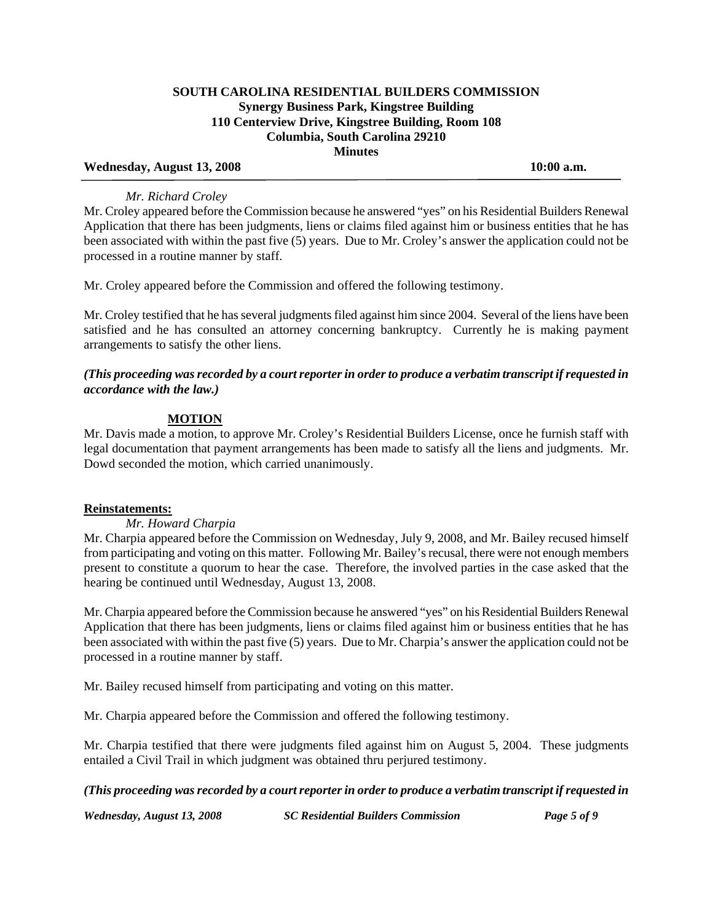### Wednesday, August 13, 2008 10:00 a.m.

### *Mr. Richard Croley*

Mr. Croley appeared before the Commission because he answered "yes" on his Residential Builders Renewal Application that there has been judgments, liens or claims filed against him or business entities that he has been associated with within the past five (5) years. Due to Mr. Croley's answer the application could not be processed in a routine manner by staff.

Mr. Croley appeared before the Commission and offered the following testimony.

Mr. Croley testified that he has several judgments filed against him since 2004. Several of the liens have been satisfied and he has consulted an attorney concerning bankruptcy. Currently he is making payment arrangements to satisfy the other liens.

# *(This proceeding was recorded by a court reporter in order to produce a verbatim transcript if requested in accordance with the law.)*

# **MOTION**

Mr. Davis made a motion, to approve Mr. Croley's Residential Builders License, once he furnish staff with legal documentation that payment arrangements has been made to satisfy all the liens and judgments. Mr. Dowd seconded the motion, which carried unanimously.

#### **Reinstatements:**

 *Mr. Howard Charpia* 

Mr. Charpia appeared before the Commission on Wednesday, July 9, 2008, and Mr. Bailey recused himself from participating and voting on this matter. Following Mr. Bailey's recusal, there were not enough members present to constitute a quorum to hear the case. Therefore, the involved parties in the case asked that the hearing be continued until Wednesday, August 13, 2008.

Mr. Charpia appeared before the Commission because he answered "yes" on his Residential Builders Renewal Application that there has been judgments, liens or claims filed against him or business entities that he has been associated with within the past five (5) years. Due to Mr. Charpia's answer the application could not be processed in a routine manner by staff.

Mr. Bailey recused himself from participating and voting on this matter.

Mr. Charpia appeared before the Commission and offered the following testimony.

Mr. Charpia testified that there were judgments filed against him on August 5, 2004. These judgments entailed a Civil Trail in which judgment was obtained thru perjured testimony.

#### *(This proceeding was recorded by a court reporter in order to produce a verbatim transcript if requested in*

*Wednesday, August 13, 2008 SC Residential Builders Commission Page 5 of 9*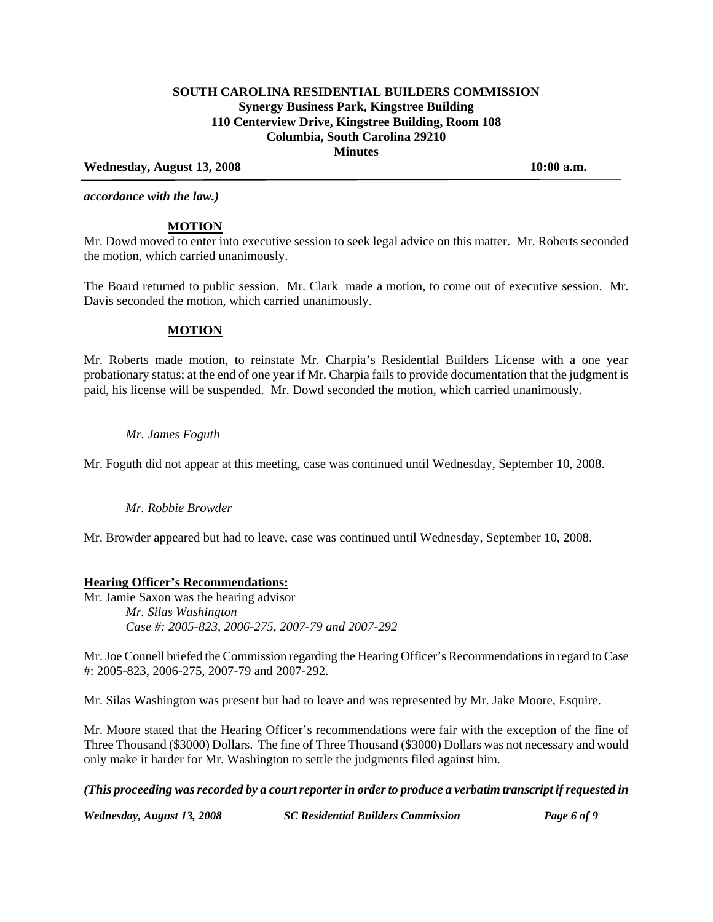### Wednesday, August 13, 2008 10:00 a.m.

*accordance with the law.)* 

### **MOTION**

Mr. Dowd moved to enter into executive session to seek legal advice on this matter. Mr. Roberts seconded the motion, which carried unanimously.

The Board returned to public session. Mr. Clark made a motion, to come out of executive session. Mr. Davis seconded the motion, which carried unanimously.

#### **MOTION**

Mr. Roberts made motion, to reinstate Mr. Charpia's Residential Builders License with a one year probationary status; at the end of one year if Mr. Charpia fails to provide documentation that the judgment is paid, his license will be suspended. Mr. Dowd seconded the motion, which carried unanimously.

### *Mr. James Foguth*

Mr. Foguth did not appear at this meeting, case was continued until Wednesday, September 10, 2008.

# *Mr. Robbie Browder*

Mr. Browder appeared but had to leave, case was continued until Wednesday, September 10, 2008.

# **Hearing Officer's Recommendations:**

Mr. Jamie Saxon was the hearing advisor  *Mr. Silas Washington Case #: 2005-823, 2006-275, 2007-79 and 2007-292* 

Mr. Joe Connell briefed the Commission regarding the Hearing Officer's Recommendations in regard to Case #: 2005-823, 2006-275, 2007-79 and 2007-292.

Mr. Silas Washington was present but had to leave and was represented by Mr. Jake Moore, Esquire.

Mr. Moore stated that the Hearing Officer's recommendations were fair with the exception of the fine of Three Thousand (\$3000) Dollars. The fine of Three Thousand (\$3000) Dollars was not necessary and would only make it harder for Mr. Washington to settle the judgments filed against him.

*(This proceeding was recorded by a court reporter in order to produce a verbatim transcript if requested in* 

*Wednesday, August 13, 2008 SC Residential Builders Commission Page 6 of 9*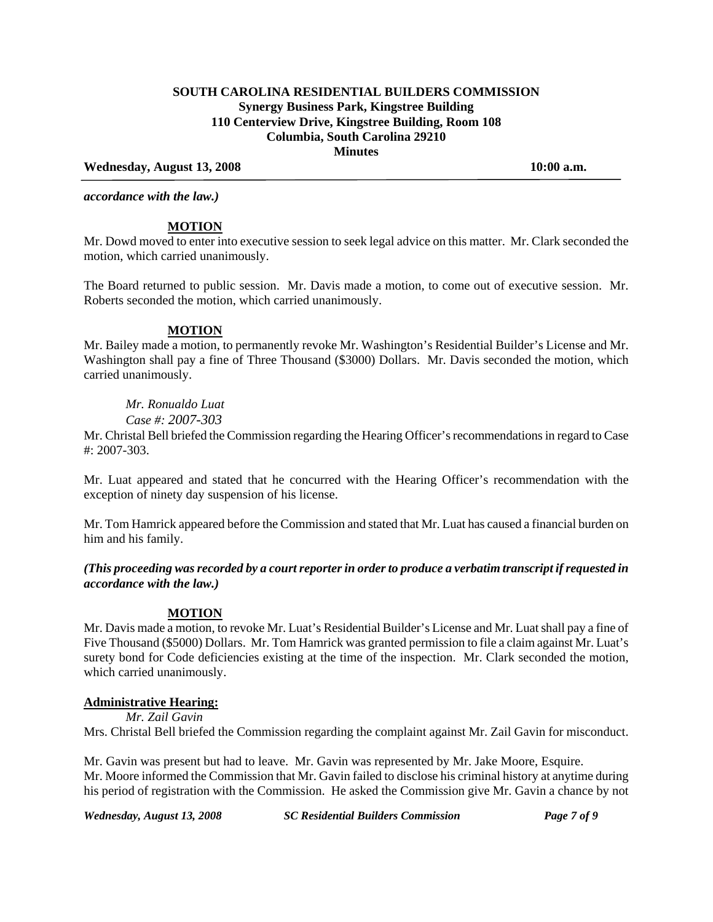#### Wednesday, August 13, 2008 10:00 a.m.

*accordance with the law.)* 

### **MOTION**

Mr. Dowd moved to enter into executive session to seek legal advice on this matter. Mr. Clark seconded the motion, which carried unanimously.

The Board returned to public session. Mr. Davis made a motion, to come out of executive session. Mr. Roberts seconded the motion, which carried unanimously.

### **MOTION**

Mr. Bailey made a motion, to permanently revoke Mr. Washington's Residential Builder's License and Mr. Washington shall pay a fine of Three Thousand (\$3000) Dollars. Mr. Davis seconded the motion, which carried unanimously.

# *Mr. Ronualdo Luat*

 *Case #: 2007-303*

Mr. Christal Bell briefed the Commission regarding the Hearing Officer's recommendations in regard to Case #: 2007-303.

Mr. Luat appeared and stated that he concurred with the Hearing Officer's recommendation with the exception of ninety day suspension of his license.

Mr. Tom Hamrick appeared before the Commission and stated that Mr. Luat has caused a financial burden on him and his family.

*(This proceeding was recorded by a court reporter in order to produce a verbatim transcript if requested in accordance with the law.)* 

#### **MOTION**

Mr. Davis made a motion, to revoke Mr. Luat's Residential Builder's License and Mr. Luat shall pay a fine of Five Thousand (\$5000) Dollars. Mr. Tom Hamrick was granted permission to file a claim against Mr. Luat's surety bond for Code deficiencies existing at the time of the inspection. Mr. Clark seconded the motion, which carried unanimously.

#### **Administrative Hearing:**

 *Mr. Zail Gavin* 

Mrs. Christal Bell briefed the Commission regarding the complaint against Mr. Zail Gavin for misconduct.

Mr. Gavin was present but had to leave. Mr. Gavin was represented by Mr. Jake Moore, Esquire. Mr. Moore informed the Commission that Mr. Gavin failed to disclose his criminal history at anytime during his period of registration with the Commission. He asked the Commission give Mr. Gavin a chance by not

*Wednesday, August 13, 2008 SC Residential Builders Commission Page 7 of 9*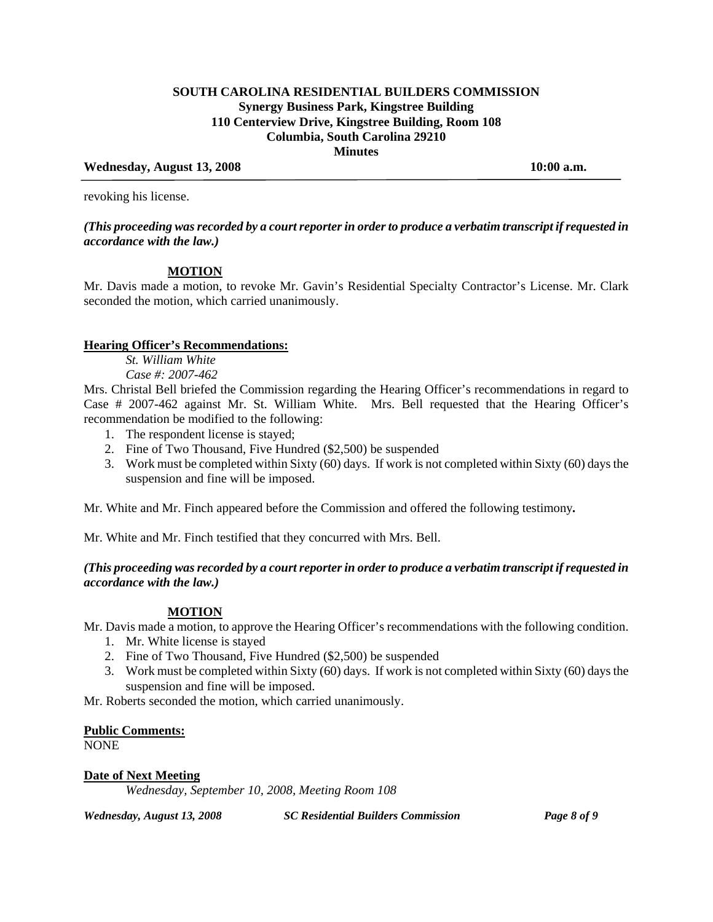### Wednesday, August 13, 2008 10:00 a.m.

revoking his license.

### *(This proceeding was recorded by a court reporter in order to produce a verbatim transcript if requested in accordance with the law.)*

# **MOTION**

Mr. Davis made a motion, to revoke Mr. Gavin's Residential Specialty Contractor's License. Mr. Clark seconded the motion, which carried unanimously.

### **Hearing Officer's Recommendations:**

 *St. William White* 

 *Case #: 2007-462* 

Mrs. Christal Bell briefed the Commission regarding the Hearing Officer's recommendations in regard to Case # 2007-462 against Mr. St. William White. Mrs. Bell requested that the Hearing Officer's recommendation be modified to the following:

- 1. The respondent license is stayed;
- 2. Fine of Two Thousand, Five Hundred (\$2,500) be suspended
- 3. Work must be completed within Sixty (60) days. If work is not completed within Sixty (60) days the suspension and fine will be imposed.

Mr. White and Mr. Finch appeared before the Commission and offered the following testimony*.* 

Mr. White and Mr. Finch testified that they concurred with Mrs. Bell.

# *(This proceeding was recorded by a court reporter in order to produce a verbatim transcript if requested in accordance with the law.)*

# **MOTION**

Mr. Davis made a motion, to approve the Hearing Officer's recommendations with the following condition.

- 1. Mr. White license is stayed
- 2. Fine of Two Thousand, Five Hundred (\$2,500) be suspended
- 3. Work must be completed within Sixty (60) days. If work is not completed within Sixty (60) days the suspension and fine will be imposed.

Mr. Roberts seconded the motion, which carried unanimously.

#### **Public Comments:**

NONE

#### **Date of Next Meeting**

 *Wednesday, September 10, 2008, Meeting Room 108* 

*Wednesday, August 13, 2008 SC Residential Builders Commission Page 8 of 9*